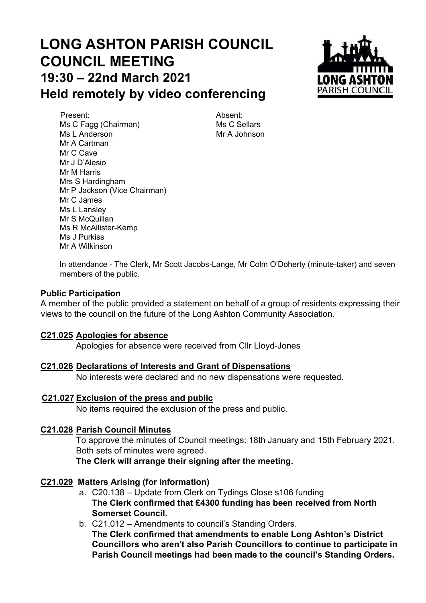# **LONG ASHTON PARISH COUNCIL COUNCIL MEETING 19:30 – 22nd March 2021 Held remotely by video conferencing**



Present: Absent: Ms C Fagg (Chairman) Ms C Sellars Ms L Anderson Mr A Johnson Mr A Cartman Mr C Cave Mr J D'Alesio Mr M Harris Mrs S Hardingham Mr P Jackson (Vice Chairman) Mr C James Ms L Lansley Mr S McQuillan Ms R McAllister-Kemp Ms J Purkiss Mr A Wilkinson

In attendance - The Clerk, Mr Scott Jacobs-Lange, Mr Colm O'Doherty (minute-taker) and seven members of the public.

#### **Public Participation**

A member of the public provided a statement on behalf of a group of residents expressing their views to the council on the future of the Long Ashton Community Association.

#### **C21.025 Apologies for absence**

Apologies for absence were received from Cllr Lloyd-Jones

#### **C21.026 Declarations of Interests and Grant of Dispensations**

No interests were declared and no new dispensations were requested.

#### **C21.027 Exclusion of the press and public**

No items required the exclusion of the press and public.

#### **C21.028 Parish Council Minutes**

To approve the minutes of Council meetings: 18th January and 15th February 2021. Both sets of minutes were agreed.

**The Clerk will arrange their signing after the meeting.**

#### **C21.029 Matters Arising (for information)**

- a. C20.138 Update from Clerk on Tydings Close s106 funding **The Clerk confirmed that £4300 funding has been received from North Somerset Council.**
- b. C21.012 Amendments to council's Standing Orders. **The Clerk confirmed that amendments to enable Long Ashton's District Councillors who aren't also Parish Councillors to continue to participate in Parish Council meetings had been made to the council's Standing Orders.**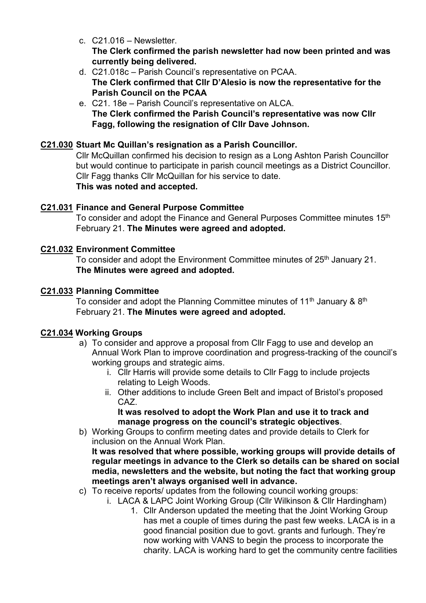- c. C21.016 Newsletter. **The Clerk confirmed the parish newsletter had now been printed and was currently being delivered.**
- d. C21.018c Parish Council's representative on PCAA. **The Clerk confirmed that Cllr D'Alesio is now the representative for the Parish Council on the PCAA**
- e. C21. 18e Parish Council's representative on ALCA. **The Clerk confirmed the Parish Council's representative was now Cllr Fagg, following the resignation of Cllr Dave Johnson.**

#### **C21.030 Stuart Mc Quillan's resignation as a Parish Councillor.**

Cllr McQuillan confirmed his decision to resign as a Long Ashton Parish Councillor but would continue to participate in parish council meetings as a District Councillor. Cllr Fagg thanks Cllr McQuillan for his service to date.

# **This was noted and accepted.**

#### **C21.031 Finance and General Purpose Committee**

To consider and adopt the Finance and General Purposes Committee minutes 15th February 21. **The Minutes were agreed and adopted.**

#### **C21.032 Environment Committee**

To consider and adopt the Environment Committee minutes of 25<sup>th</sup> January 21. **The Minutes were agreed and adopted.**

#### **C21.033 Planning Committee**

To consider and adopt the Planning Committee minutes of 11<sup>th</sup> January & 8<sup>th</sup> February 21. **The Minutes were agreed and adopted.**

#### **C21.034 Working Groups**

- a) To consider and approve a proposal from Cllr Fagg to use and develop an Annual Work Plan to improve coordination and progress-tracking of the council's working groups and strategic aims.
	- i. Cllr Harris will provide some details to Cllr Fagg to include projects relating to Leigh Woods.
	- ii. Other additions to include Green Belt and impact of Bristol's proposed CAZ.

#### **It was resolved to adopt the Work Plan and use it to track and manage progress on the council's strategic objectives**.

b) Working Groups to confirm meeting dates and provide details to Clerk for inclusion on the Annual Work Plan.

**It was resolved that where possible, working groups will provide details of regular meetings in advance to the Clerk so details can be shared on social media, newsletters and the website, but noting the fact that working group meetings aren't always organised well in advance.**

- c) To receive reports/ updates from the following council working groups:
	- i. LACA & LAPC Joint Working Group (Cllr Wilkinson & Cllr Hardingham)
		- 1. Cllr Anderson updated the meeting that the Joint Working Group has met a couple of times during the past few weeks. LACA is in a good financial position due to govt. grants and furlough. They're now working with VANS to begin the process to incorporate the charity. LACA is working hard to get the community centre facilities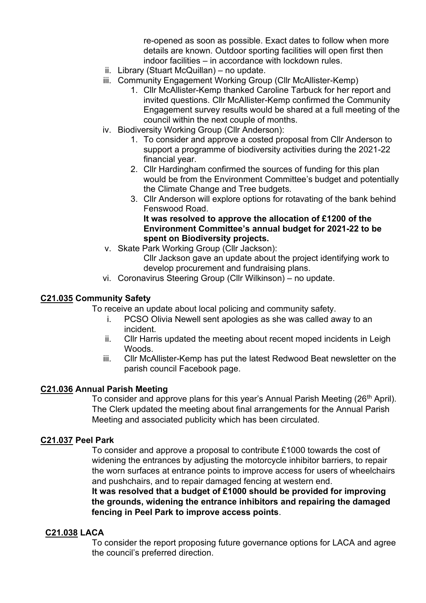re-opened as soon as possible. Exact dates to follow when more details are known. Outdoor sporting facilities will open first then indoor facilities – in accordance with lockdown rules.

- ii. Library (Stuart McQuillan) no update.
- iii. Community Engagement Working Group (Cllr McAllister-Kemp)
	- 1. Cllr McAllister-Kemp thanked Caroline Tarbuck for her report and invited questions. Cllr McAllister-Kemp confirmed the Community Engagement survey results would be shared at a full meeting of the council within the next couple of months.
- iv. Biodiversity Working Group (Cllr Anderson):
	- 1. To consider and approve a costed proposal from Cllr Anderson to support a programme of biodiversity activities during the 2021-22 financial year.
	- 2. Cllr Hardingham confirmed the sources of funding for this plan would be from the Environment Committee's budget and potentially the Climate Change and Tree budgets.
	- 3. Cllr Anderson will explore options for rotavating of the bank behind Fenswood Road. **It was resolved to approve the allocation of £1200 of the**

# **Environment Committee's annual budget for 2021-22 to be spent on Biodiversity projects.**

- v. Skate Park Working Group (Cllr Jackson): Cllr Jackson gave an update about the project identifying work to develop procurement and fundraising plans.
- vi. Coronavirus Steering Group (Cllr Wilkinson) no update.

#### **C21.035 Community Safety**

To receive an update about local policing and community safety.

- i. PCSO Olivia Newell sent apologies as she was called away to an incident.
- ii. Cllr Harris updated the meeting about recent moped incidents in Leigh Woods.
- iii. Cllr McAllister-Kemp has put the latest Redwood Beat newsletter on the parish council Facebook page.

#### **C21.036 Annual Parish Meeting**

To consider and approve plans for this year's Annual Parish Meeting (26<sup>th</sup> April). The Clerk updated the meeting about final arrangements for the Annual Parish Meeting and associated publicity which has been circulated.

#### **C21.037 Peel Park**

To consider and approve a proposal to contribute £1000 towards the cost of widening the entrances by adjusting the motorcycle inhibitor barriers, to repair the worn surfaces at entrance points to improve access for users of wheelchairs and pushchairs, and to repair damaged fencing at western end.

**It was resolved that a budget of £1000 should be provided for improving the grounds, widening the entrance inhibitors and repairing the damaged fencing in Peel Park to improve access points**.

#### **C21.038 LACA**

To consider the report proposing future governance options for LACA and agree the council's preferred direction.